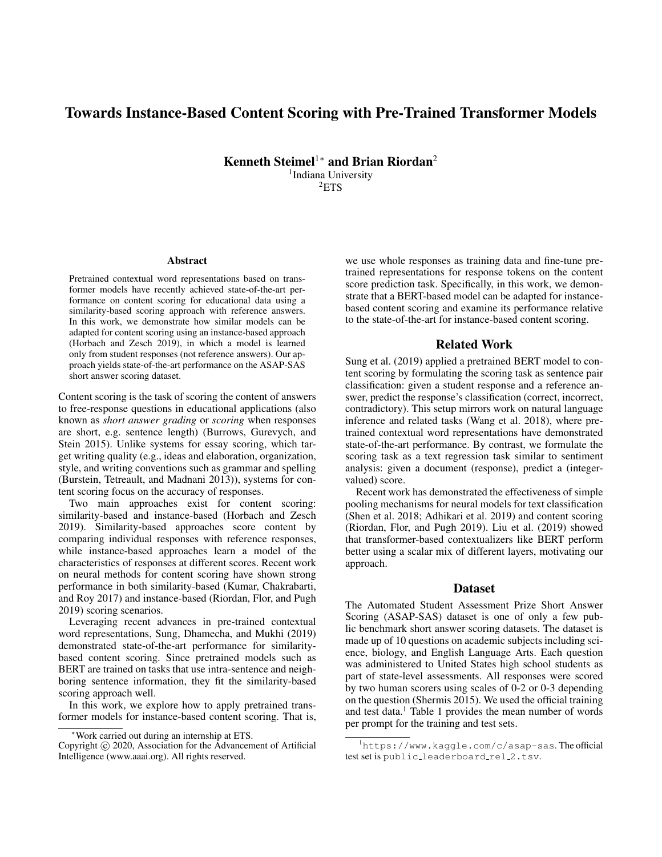# Towards Instance-Based Content Scoring with Pre-Trained Transformer Models

Kenneth Steimel<sup>1</sup><sup>∗</sup> and Brian Riordan<sup>2</sup> <sup>1</sup>Indiana University  ${}^{2}$ ETS

#### **Abstract**

Pretrained contextual word representations based on transformer models have recently achieved state-of-the-art performance on content scoring for educational data using a similarity-based scoring approach with reference answers. In this work, we demonstrate how similar models can be adapted for content scoring using an instance-based approach (Horbach and Zesch 2019), in which a model is learned only from student responses (not reference answers). Our approach yields state-of-the-art performance on the ASAP-SAS short answer scoring dataset.

Content scoring is the task of scoring the content of answers to free-response questions in educational applications (also known as *short answer grading* or *scoring* when responses are short, e.g. sentence length) (Burrows, Gurevych, and Stein 2015). Unlike systems for essay scoring, which target writing quality (e.g., ideas and elaboration, organization, style, and writing conventions such as grammar and spelling (Burstein, Tetreault, and Madnani 2013)), systems for content scoring focus on the accuracy of responses.

Two main approaches exist for content scoring: similarity-based and instance-based (Horbach and Zesch 2019). Similarity-based approaches score content by comparing individual responses with reference responses, while instance-based approaches learn a model of the characteristics of responses at different scores. Recent work on neural methods for content scoring have shown strong performance in both similarity-based (Kumar, Chakrabarti, and Roy 2017) and instance-based (Riordan, Flor, and Pugh 2019) scoring scenarios.

Leveraging recent advances in pre-trained contextual word representations, Sung, Dhamecha, and Mukhi (2019) demonstrated state-of-the-art performance for similaritybased content scoring. Since pretrained models such as BERT are trained on tasks that use intra-sentence and neighboring sentence information, they fit the similarity-based scoring approach well.

In this work, we explore how to apply pretrained transformer models for instance-based content scoring. That is,

we use whole responses as training data and fine-tune pretrained representations for response tokens on the content score prediction task. Specifically, in this work, we demonstrate that a BERT-based model can be adapted for instancebased content scoring and examine its performance relative to the state-of-the-art for instance-based content scoring.

### Related Work

Sung et al. (2019) applied a pretrained BERT model to content scoring by formulating the scoring task as sentence pair classification: given a student response and a reference answer, predict the response's classification (correct, incorrect, contradictory). This setup mirrors work on natural language inference and related tasks (Wang et al. 2018), where pretrained contextual word representations have demonstrated state-of-the-art performance. By contrast, we formulate the scoring task as a text regression task similar to sentiment analysis: given a document (response), predict a (integervalued) score.

Recent work has demonstrated the effectiveness of simple pooling mechanisms for neural models for text classification (Shen et al. 2018; Adhikari et al. 2019) and content scoring (Riordan, Flor, and Pugh 2019). Liu et al. (2019) showed that transformer-based contextualizers like BERT perform better using a scalar mix of different layers, motivating our approach.

### **Dataset**

The Automated Student Assessment Prize Short Answer Scoring (ASAP-SAS) dataset is one of only a few public benchmark short answer scoring datasets. The dataset is made up of 10 questions on academic subjects including science, biology, and English Language Arts. Each question was administered to United States high school students as part of state-level assessments. All responses were scored by two human scorers using scales of 0-2 or 0-3 depending on the question (Shermis 2015). We used the official training and test data.<sup>1</sup> Table 1 provides the mean number of words per prompt for the training and test sets.

<sup>∗</sup>Work carried out during an internship at ETS.

Copyright  $\odot$  2020, Association for the Advancement of Artificial Intelligence (www.aaai.org). All rights reserved.

<sup>1</sup>https://www.kaggle.com/c/asap-sas. The official test set is public leaderboard rel 2.tsv.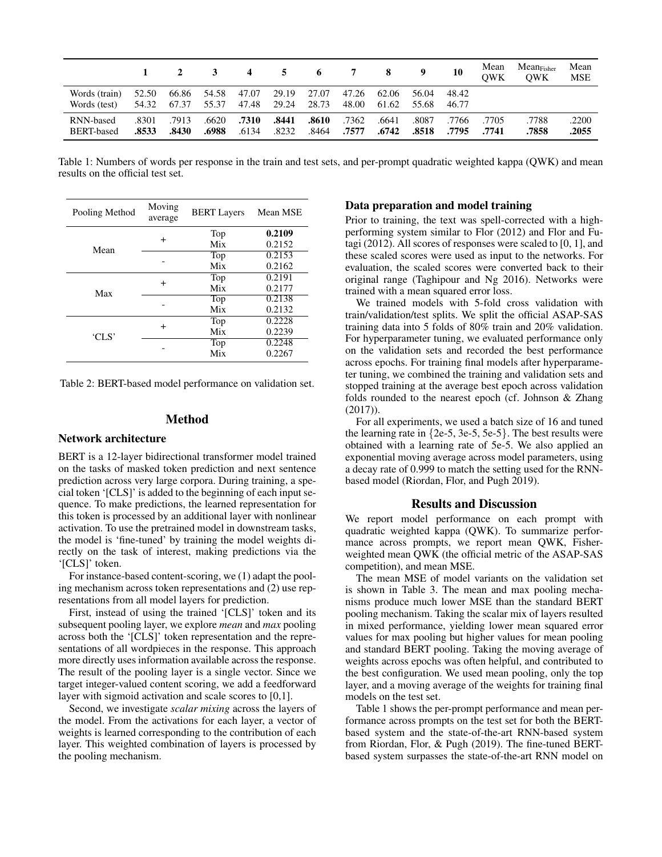|                                |                | $\mathbf{2}$   | $\mathbf{3}$         | $\overline{4}$ |                | 5 6 7 8        |                |                | - 9            | 10             | Mean<br><b>OWK</b> | $Mean_{Fisher}$<br><b>OWK</b> | Mean<br><b>MSE</b> |
|--------------------------------|----------------|----------------|----------------------|----------------|----------------|----------------|----------------|----------------|----------------|----------------|--------------------|-------------------------------|--------------------|
| Words (train)<br>Words (test)  | 52.50<br>54.32 | 67.37          | 66.86 54.58<br>55.37 | 47.07<br>47.48 | 29.19<br>29.24 | 27.07<br>28.73 | 47.26<br>48.00 | 62.06<br>61.62 | 56.04<br>55.68 | 48.42<br>46.77 |                    |                               |                    |
| RNN-based<br><b>BERT-based</b> | .8301<br>.8533 | .7913<br>.8430 | .6620<br>.6988       | .7310<br>.6134 | .8441<br>.8232 | .8610<br>.8464 | .7362<br>.7577 | .6641<br>.6742 | .8087<br>.8518 | .7766<br>.7795 | .7705<br>.7741     | .7788<br>.7858                | .2200<br>.2055     |

Table 1: Numbers of words per response in the train and test sets, and per-prompt quadratic weighted kappa (QWK) and mean results on the official test set.

| Pooling Method | Moving<br>average | <b>BERT Layers</b> | Mean MSE |  |  |
|----------------|-------------------|--------------------|----------|--|--|
|                |                   | Top                | 0.2109   |  |  |
| Mean           | $\div$            | Mix                | 0.2152   |  |  |
|                |                   | Top                | 0.2153   |  |  |
|                |                   | Mix                | 0.2162   |  |  |
|                |                   | Top                | 0.2191   |  |  |
| Max            | $\ddot{}$         | Mix                | 0.2177   |  |  |
|                |                   | Top                | 0.2138   |  |  |
|                |                   | Mix                | 0.2132   |  |  |
|                |                   | Top                | 0.2228   |  |  |
| 'CLS'          | $\ddot{}$         | Mix                | 0.2239   |  |  |
|                |                   | Top                | 0.2248   |  |  |
|                |                   | Mix                | 0.2267   |  |  |

Table 2: BERT-based model performance on validation set.

#### Method

#### Network architecture

BERT is a 12-layer bidirectional transformer model trained on the tasks of masked token prediction and next sentence prediction across very large corpora. During training, a special token '[CLS]' is added to the beginning of each input sequence. To make predictions, the learned representation for this token is processed by an additional layer with nonlinear activation. To use the pretrained model in downstream tasks, the model is 'fine-tuned' by training the model weights directly on the task of interest, making predictions via the '[CLS]' token.

For instance-based content-scoring, we (1) adapt the pooling mechanism across token representations and (2) use representations from all model layers for prediction.

First, instead of using the trained '[CLS]' token and its subsequent pooling layer, we explore *mean* and *max* pooling across both the '[CLS]' token representation and the representations of all wordpieces in the response. This approach more directly uses information available across the response. The result of the pooling layer is a single vector. Since we target integer-valued content scoring, we add a feedforward layer with sigmoid activation and scale scores to [0,1].

Second, we investigate *scalar mixing* across the layers of the model. From the activations for each layer, a vector of weights is learned corresponding to the contribution of each layer. This weighted combination of layers is processed by the pooling mechanism.

### Data preparation and model training

Prior to training, the text was spell-corrected with a highperforming system similar to Flor (2012) and Flor and Futagi (2012). All scores of responses were scaled to [0, 1], and these scaled scores were used as input to the networks. For evaluation, the scaled scores were converted back to their original range (Taghipour and Ng 2016). Networks were trained with a mean squared error loss.

We trained models with 5-fold cross validation with train/validation/test splits. We split the official ASAP-SAS training data into 5 folds of 80% train and 20% validation. For hyperparameter tuning, we evaluated performance only on the validation sets and recorded the best performance across epochs. For training final models after hyperparameter tuning, we combined the training and validation sets and stopped training at the average best epoch across validation folds rounded to the nearest epoch (cf. Johnson & Zhang (2017)).

For all experiments, we used a batch size of 16 and tuned the learning rate in  $\{2e-5, 3e-5, 5e-5\}$ . The best results were obtained with a learning rate of 5e-5. We also applied an exponential moving average across model parameters, using a decay rate of 0.999 to match the setting used for the RNNbased model (Riordan, Flor, and Pugh 2019).

## Results and Discussion

We report model performance on each prompt with quadratic weighted kappa (QWK). To summarize performance across prompts, we report mean QWK, Fisherweighted mean QWK (the official metric of the ASAP-SAS competition), and mean MSE.

The mean MSE of model variants on the validation set is shown in Table 3. The mean and max pooling mechanisms produce much lower MSE than the standard BERT pooling mechanism. Taking the scalar mix of layers resulted in mixed performance, yielding lower mean squared error values for max pooling but higher values for mean pooling and standard BERT pooling. Taking the moving average of weights across epochs was often helpful, and contributed to the best configuration. We used mean pooling, only the top layer, and a moving average of the weights for training final models on the test set.

Table 1 shows the per-prompt performance and mean performance across prompts on the test set for both the BERTbased system and the state-of-the-art RNN-based system from Riordan, Flor, & Pugh (2019). The fine-tuned BERTbased system surpasses the state-of-the-art RNN model on